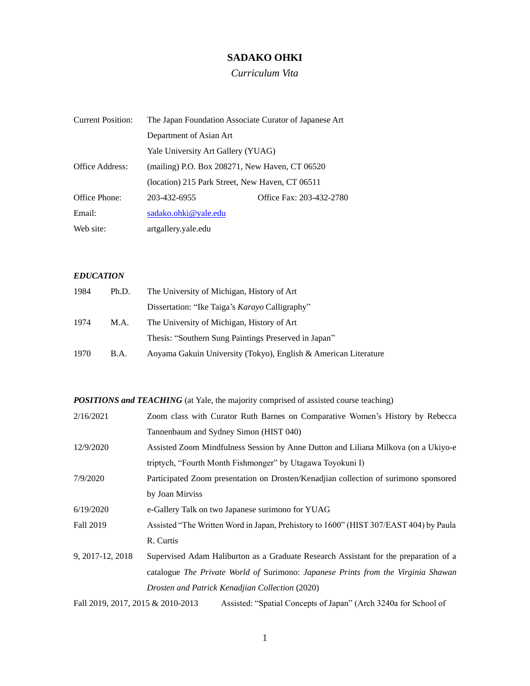# **SADAKO OHKI**

*Curriculum Vita*

| <b>Current Position:</b> | The Japan Foundation Associate Curator of Japanese Art |                          |
|--------------------------|--------------------------------------------------------|--------------------------|
|                          | Department of Asian Art                                |                          |
|                          | Yale University Art Gallery (YUAG)                     |                          |
| Office Address:          | (mailing) P.O. Box 208271, New Haven, CT 06520         |                          |
|                          | (location) 215 Park Street, New Haven, CT 06511        |                          |
| Office Phone:            | 203-432-6955                                           | Office Fax: 203-432-2780 |
| Email:                   | sadako.ohki@yale.edu                                   |                          |
| Web site:                | artgallery.yale.edu                                    |                          |

## *EDUCATION*

| 1984 | Ph.D.       | The University of Michigan, History of Art                      |
|------|-------------|-----------------------------------------------------------------|
|      |             | Dissertation: "Ike Taiga's <i>Karayo</i> Calligraphy"           |
| 1974 | M.A.        | The University of Michigan, History of Art                      |
|      |             | Thesis: "Southern Sung Paintings Preserved in Japan"            |
| 1970 | <b>B.A.</b> | Aoyama Gakuin University (Tokyo), English & American Literature |

*POSITIONS and TEACHING* (at Yale, the majority comprised of assisted course teaching)

| 2/16/2021                         | Zoom class with Curator Ruth Barnes on Comparative Women's History by Rebecca         |
|-----------------------------------|---------------------------------------------------------------------------------------|
|                                   | Tannenbaum and Sydney Simon (HIST 040)                                                |
| 12/9/2020                         | Assisted Zoom Mindfulness Session by Anne Dutton and Liliana Milkova (on a Ukiyo-e    |
|                                   | triptych, "Fourth Month Fishmonger" by Utagawa Toyokuni I)                            |
| 7/9/2020                          | Participated Zoom presentation on Drosten/Kenadjian collection of surimono sponsored  |
|                                   | by Joan Mirviss                                                                       |
| 6/19/2020                         | e-Gallery Talk on two Japanese surimono for YUAG                                      |
| Fall 2019                         | Assisted "The Written Word in Japan, Prehistory to 1600" (HIST 307/EAST 404) by Paula |
|                                   | R. Curtis                                                                             |
| 9, 2017-12, 2018                  | Supervised Adam Haliburton as a Graduate Research Assistant for the preparation of a  |
|                                   | catalogue The Private World of Surimono: Japanese Prints from the Virginia Shawan     |
|                                   | Drosten and Patrick Kenadjian Collection (2020)                                       |
| Fall 2019, 2017, 2015 & 2010-2013 | Assisted: "Spatial Concepts of Japan" (Arch 3240a for School of                       |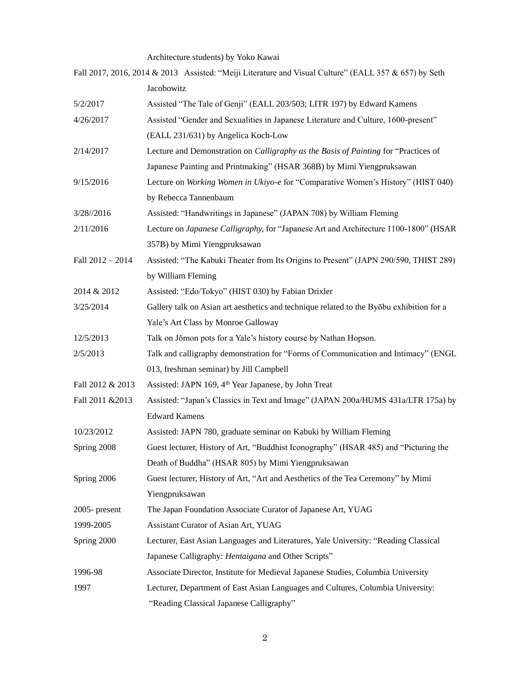Architecture students) by Yoko Kawai

|                  | Fall 2017, 2016, 2014 & 2013 Assisted: "Meiji Literature and Visual Culture" (EALL 357 & 657) by Seth |
|------------------|-------------------------------------------------------------------------------------------------------|
|                  | Jacobowitz                                                                                            |
| 5/2/2017         | Assisted "The Tale of Genji" (EALL 203/503; LITR 197) by Edward Kamens                                |
| 4/26/2017        | Assisted "Gender and Sexualities in Japanese Literature and Culture, 1600-present"                    |
|                  | (EALL 231/631) by Angelica Koch-Low                                                                   |
| 2/14/2017        | Lecture and Demonstration on Calligraphy as the Basis of Painting for "Practices of                   |
|                  | Japanese Painting and Printmaking" (HSAR 368B) by Mimi Yiengpruksawan                                 |
| 9/15/2016        | Lecture on Working Women in Ukiyo-e for "Comparative Women's History" (HIST 040)                      |
|                  | by Rebecca Tannenbaum                                                                                 |
| 3/28//2016       | Assisted: "Handwritings in Japanese" (JAPAN 708) by William Fleming                                   |
| 2/11/2016        | Lecture on Japanese Calligraphy, for "Japanese Art and Architecture 1100-1800" (HSAR                  |
|                  | 357B) by Mimi Yiengpruksawan                                                                          |
| Fall 2012 - 2014 | Assisted: "The Kabuki Theater from Its Origins to Present" (JAPN 290/590, THIST 289)                  |
|                  | by William Fleming                                                                                    |
| 2014 & 2012      | Assisted: "Edo/Tokyo" (HIST 030) by Fabian Drixler                                                    |
| 3/25/2014        | Gallery talk on Asian art aesthetics and technique related to the Byobu exhibition for a              |
|                  | Yale's Art Class by Monroe Galloway                                                                   |
| 12/5/2013        | Talk on Jōmon pots for a Yale's history course by Nathan Hopson.                                      |
| 2/5/2013         | Talk and calligraphy demonstration for "Forms of Communication and Intimacy" (ENGL                    |
|                  | 013, freshman seminar) by Jill Campbell                                                               |
| Fall 2012 & 2013 | Assisted: JAPN 169, 4 <sup>th</sup> Year Japanese, by John Treat                                      |
| Fall 2011 & 2013 | Assisted: "Japan's Classics in Text and Image" (JAPAN 200a/HUMS 431a/LTR 175a) by                     |
|                  | <b>Edward Kamens</b>                                                                                  |
| 10/23/2012       | Assisted: JAPN 780, graduate seminar on Kabuki by William Fleming                                     |
| Spring 2008      | Guest lecturer, History of Art, "Buddhist Iconography" (HSAR 485) and "Picturing the                  |
|                  | Death of Buddha" (HSAR 805) by Mimi Yiengpruksawan                                                    |
| Spring 2006      | Guest lecturer, History of Art, "Art and Aesthetics of the Tea Ceremony" by Mimi                      |
|                  | Yiengpruksawan                                                                                        |
| $2005$ - present | The Japan Foundation Associate Curator of Japanese Art, YUAG                                          |
| 1999-2005        | Assistant Curator of Asian Art, YUAG                                                                  |
| Spring 2000      | Lecturer, East Asian Languages and Literatures, Yale University: "Reading Classical                   |
|                  | Japanese Calligraphy: Hentaigana and Other Scripts"                                                   |
| 1996-98          | Associate Director, Institute for Medieval Japanese Studies, Columbia University                      |
| 1997             | Lecturer, Department of East Asian Languages and Cultures, Columbia University:                       |
|                  | "Reading Classical Japanese Calligraphy"                                                              |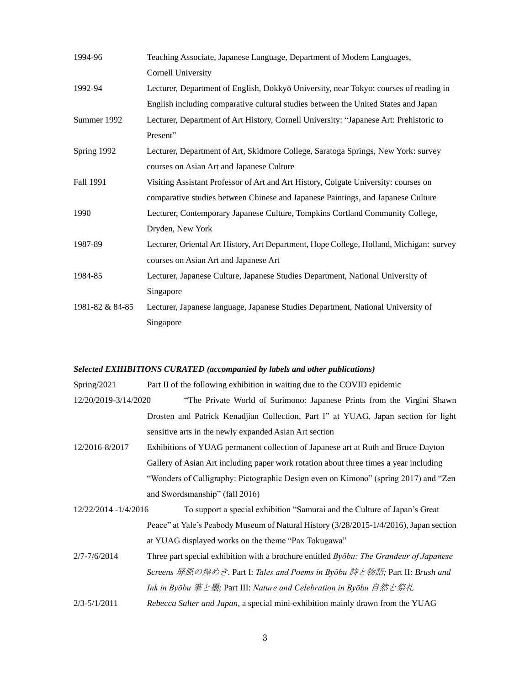| 1994-96         | Teaching Associate, Japanese Language, Department of Modern Languages,                  |
|-----------------|-----------------------------------------------------------------------------------------|
|                 | Cornell University                                                                      |
| 1992-94         | Lecturer, Department of English, Dokkyō University, near Tokyo: courses of reading in   |
|                 | English including comparative cultural studies between the United States and Japan      |
| Summer 1992     | Lecturer, Department of Art History, Cornell University: "Japanese Art: Prehistoric to  |
|                 | Present"                                                                                |
| Spring 1992     | Lecturer, Department of Art, Skidmore College, Saratoga Springs, New York: survey       |
|                 | courses on Asian Art and Japanese Culture                                               |
| Fall 1991       | Visiting Assistant Professor of Art and Art History, Colgate University: courses on     |
|                 | comparative studies between Chinese and Japanese Paintings, and Japanese Culture        |
| 1990            | Lecturer, Contemporary Japanese Culture, Tompkins Cortland Community College,           |
|                 | Dryden, New York                                                                        |
| 1987-89         | Lecturer, Oriental Art History, Art Department, Hope College, Holland, Michigan: survey |
|                 | courses on Asian Art and Japanese Art                                                   |
| 1984-85         | Lecturer, Japanese Culture, Japanese Studies Department, National University of         |
|                 | Singapore                                                                               |
| 1981-82 & 84-85 | Lecturer, Japanese language, Japanese Studies Department, National University of        |
|                 | Singapore                                                                               |

#### *Selected EXHIBITIONS CURATED (accompanied by labels and other publications)*

Spring/2021 Part II of the following exhibition in waiting due to the COVID epidemic

- 12/20/2019-3/14/2020 "The Private World of Surimono: Japanese Prints from the Virgini Shawn Drosten and Patrick Kenadjian Collection, Part I" at YUAG, Japan section for light sensitive arts in the newly expanded Asian Art section
- 12/2016-8/2017 Exhibitions of YUAG permanent collection of Japanese art at Ruth and Bruce Dayton Gallery of Asian Art including paper work rotation about three times a year including "Wonders of Calligraphy: Pictographic Design even on Kimono" (spring 2017) and "Zen and Swordsmanship" (fall 2016)
- 12/22/2014 -1/4/2016 To support a special exhibition "Samurai and the Culture of Japan's Great Peace" at Yale's Peabody Museum of Natural History (3/28/2015-1/4/2016), Japan section at YUAG displayed works on the theme "Pax Tokugawa"
- 2/7-7/6/2014 Three part special exhibition with a brochure entitled *Byōbu: The Grandeur of Japanese Screens* 屏風の煌めき*.* Part I: *Tales and Poems in Byōbu* 詩と物語*;* Part II: *Brush and Ink in Byōbu* 筆と墨*;* Part III: *Nature and Celebration in Byōbu* 自然と祭礼 2/3-5/1/2011 *Rebecca Salter and Japan,* a special mini-exhibition mainly drawn from the YUAG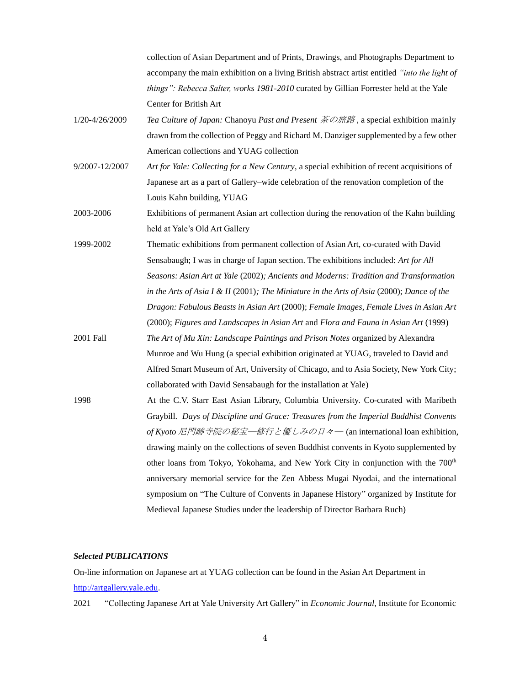collection of Asian Department and of Prints, Drawings, and Photographs Department to accompany the main exhibition on a living British abstract artist entitled *"into the light of things": Rebecca Salter, works 1981-2010* curated by Gillian Forrester held at the Yale Center for British Art 1/20-4/26/2009 *Tea Culture of Japan:* Chanoyu *Past and Present* 茶の旅路 , a special exhibition mainly drawn from the collection of Peggy and Richard M. Danziger supplemented by a few other American collections and YUAG collection 9/2007-12/2007 *Art for Yale: Collecting for a New Century*, a special exhibition of recent acquisitions of Japanese art as a part of Gallery–wide celebration of the renovation completion of the Louis Kahn building, YUAG 2003-2006 Exhibitions of permanent Asian art collection during the renovation of the Kahn building held at Yale's Old Art Gallery 1999-2002 Thematic exhibitions from permanent collection of Asian Art, co-curated with David Sensabaugh; I was in charge of Japan section. The exhibitions included: *Art for All Seasons: Asian Art at Yale* (2002)*; Ancients and Moderns: Tradition and Transformation in the Arts of Asia I & II* (2001)*; The Miniature in the Arts of Asia* (2000); *Dance of the Dragon: Fabulous Beasts in Asian Art* (2000); *Female Images, Female Lives in Asian Art*  (2000); *Figures and Landscapes in Asian Art* and *Flora and Fauna in Asian Art* (1999) 2001 Fall *The Art of Mu Xin: Landscape Paintings and Prison Notes* organized by Alexandra Munroe and Wu Hung (a special exhibition originated at YUAG, traveled to David and Alfred Smart Museum of Art, University of Chicago, and to Asia Society, New York City; collaborated with David Sensabaugh for the installation at Yale) 1998 At the C.V. Starr East Asian Library, Columbia University. Co-curated with Maribeth Graybill. *Days of Discipline and Grace: Treasures from the Imperial Buddhist Convents of Kyoto* 尼門跡寺院の秘宝―修行と優しみの日々― (an international loan exhibition, drawing mainly on the collections of seven Buddhist convents in Kyoto supplemented by other loans from Tokyo, Yokohama, and New York City in conjunction with the 700<sup>th</sup> anniversary memorial service for the Zen Abbess Mugai Nyodai, and the international symposium on "The Culture of Convents in Japanese History" organized by Institute for Medieval Japanese Studies under the leadership of Director Barbara Ruch)

## *Selected PUBLICATIONS*

On-line information on Japanese art at YUAG collection can be found in the Asian Art Department in [http://artgallery.yale.edu.](http://artgallery.yale.edu/)

2021 "Collecting Japanese Art at Yale University Art Gallery" in *Economic Journal,* Institute for Economic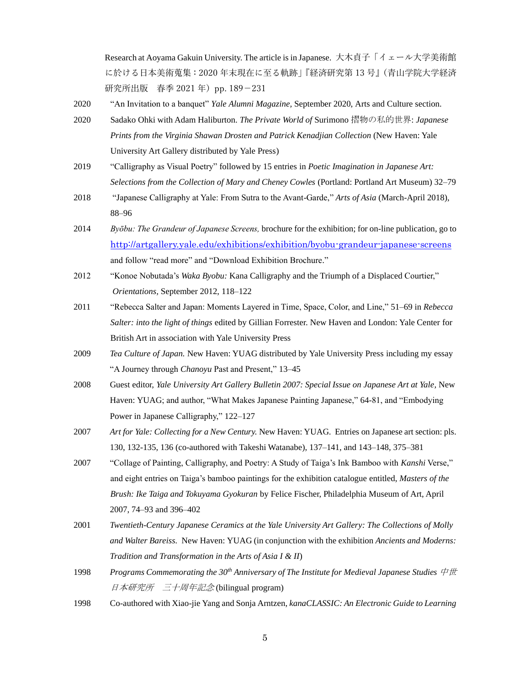Research at Aoyama Gakuin University. The article is in Japanese. 大木貞子「イェール大学美術館 に於ける日本美術蒐集:2020 年末現在に至る軌跡」『経済研究第 13 号』(青山学院大学経済 研究所出版 春季 2021 年) pp. 189-231

- 2020 "An Invitation to a banquet" *Yale Alumni Magazine,* September 2020, Arts and Culture section.
- 2020 Sadako Ohki with Adam Haliburton. *The Private World of* Surimono 摺物の私的世界: *Japanese Prints from the Virginia Shawan Drosten and Patrick Kenadjian Collection* (New Haven: Yale University Art Gallery distributed by Yale Press)
- 2019 "Calligraphy as Visual Poetry" followed by 15 entries in *Poetic Imagination in Japanese Art: Selections from the Collection of Mary and Cheney Cowles* (Portland: Portland Art Museum) 32–79
- 2018 "Japanese Calligraphy at Yale: From Sutra to the Avant-Garde," *Arts of Asia* (March-April 2018), 88–96
- 2014 *Byōbu: The Grandeur of Japanese Screens,* brochure for the exhibition; for on-line publication, go to <http://artgallery.yale.edu/exhibitions/exhibition/byobu-grandeur-japanese-screens> and follow "read more" and "Download Exhibition Brochure."
- 2012 "Konoe Nobutada's *Waka Byobu:* Kana Calligraphy and the Triumph of a Displaced Courtier," *Orientations,* September 2012, 118–122
- 2011 "Rebecca Salter and Japan: Moments Layered in Time, Space, Color, and Line," 51–69 in *Rebecca Salter: into the light of things* edited by Gillian Forrester. New Haven and London: Yale Center for British Art in association with Yale University Press
- 2009 *Tea Culture of Japan.* New Haven: YUAG distributed by Yale University Press including my essay "A Journey through *Chanoyu* Past and Present," 13–45
- 2008 Guest editor, *Yale University Art Gallery Bulletin 2007: Special Issue on Japanese Art at Yale,* New Haven: YUAG; and author, "What Makes Japanese Painting Japanese," 64-81, and "Embodying Power in Japanese Calligraphy," 122–127
- 2007 *Art for Yale: Collecting for a New Century.* New Haven: YUAG. Entries on Japanese art section: pls. 130, 132-135, 136 (co-authored with Takeshi Watanabe), 137–141, and 143–148, 375–381
- 2007 "Collage of Painting, Calligraphy, and Poetry: A Study of Taiga's Ink Bamboo with *Kanshi* Verse," and eight entries on Taiga's bamboo paintings for the exhibition catalogue entitled, *Masters of the Brush: Ike Taiga and Tokuyama Gyokuran* by Felice Fischer, Philadelphia Museum of Art, April 2007, 74–93 and 396–402
- 2001 *Twentieth-Century Japanese Ceramics at the Yale University Art Gallery: The Collections of Molly and Walter Bareiss.* New Haven: YUAG (in conjunction with the exhibition *Ancients and Moderns: Tradition and Transformation in the Arts of Asia I & II*)
- 1998 *Programs Commemorating the 30th Anniversary of The Institute for Medieval Japanese Studies* 中世 日本研究所 三十周年記念 (bilingual program)
- 1998 Co-authored with Xiao-jie Yang and Sonja Arntzen, *kanaCLASSIC: An Electronic Guide to Learning*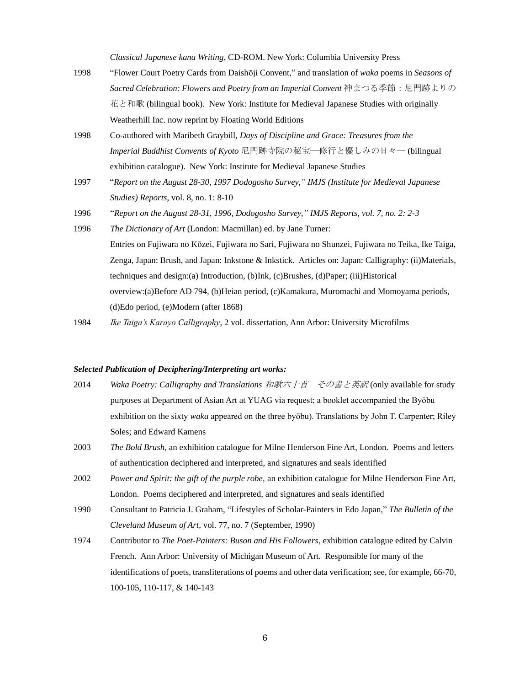*Classical Japanese kana Writing*, CD-ROM. New York: Columbia University Press

- 1998 "Flower Court Poetry Cards from Daishōji Convent," and translation of *waka* poems in *Seasons of Sacred Celebration: Flowers and Poetry from an Imperial Convent* 神まつる季節:尼門跡よりの 花と和歌 (bilingual book). New York: Institute for Medieval Japanese Studies with originally Weatherhill Inc. now reprint by Floating World Editions
- 1998 Co-authored with Maribeth Graybill, *Days of Discipline and Grace: Treasures from the Imperial Buddhist Convents of Kyoto* 尼門跡寺院の秘宝―修行と優しみの日々― (bilingual exhibition catalogue). New York: Institute for Medieval Japanese Studies
- 1997 "*Report on the August 28-30, 1997 Dodogosho Survey," IMJS (Institute for Medieval Japanese Studies) Reports*, vol. 8, no. 1: 8-10
- 1996 "*Report on the August 28-31, 1996, Dodogosho Survey," IMJS Reports, vol. 7, no. 2: 2-3*
- 1996 *The Dictionary of Art* (London: Macmillan) ed. by Jane Turner: Entries on Fujiwara no Kōzei, Fujiwara no Sari, Fujiwara no Shunzei, Fujiwara no Teika, Ike Taiga, Zenga, Japan: Brush, and Japan: Inkstone & Inkstick. Articles on: Japan: Calligraphy: (ii)Materials, techniques and design:(a) Introduction, (b)Ink, (c)Brushes, (d)Paper; (iii)Historical overview:(a)Before AD 794, (b)Heian period, (c)Kamakura, Muromachi and Momoyama periods, (d)Edo period, (e)Modern (after 1868)
- 1984 *Ike Taiga's Karayo Calligraphy*, 2 vol. dissertation, Ann Arbor: University Microfilms

#### *Selected Publication of Deciphering/Interpreting art works:*

- 2014 *Waka Poetry: Calligraphy and Translations* 和歌六十首 その書と英訳 (only available for study purposes at Department of Asian Art at YUAG via request; a booklet accompanied the Byōbu exhibition on the sixty *waka* appeared on the three byōbu). Translations by John T. Carpenter; Riley Soles; and Edward Kamens
- 2003 *The Bold Brush,* an exhibition catalogue for Milne Henderson Fine Art, London. Poems and letters of authentication deciphered and interpreted, and signatures and seals identified
- 2002 *Power and Spirit: the gift of the purple robe,* an exhibition catalogue for Milne Henderson Fine Art, London. Poems deciphered and interpreted, and signatures and seals identified
- 1990 Consultant to Patricia J. Graham, "Lifestyles of Scholar-Painters in Edo Japan," *The Bulletin of the Cleveland Museum of Art*, vol. 77, no. 7 (September, 1990)
- 1974 Contributor to *The Poet-Painters: Buson and His Followers*, exhibition catalogue edited by Calvin French. Ann Arbor: University of Michigan Museum of Art. Responsible for many of the identifications of poets, transliterations of poems and other data verification; see, for example, 66-70, 100-105, 110-117, & 140-143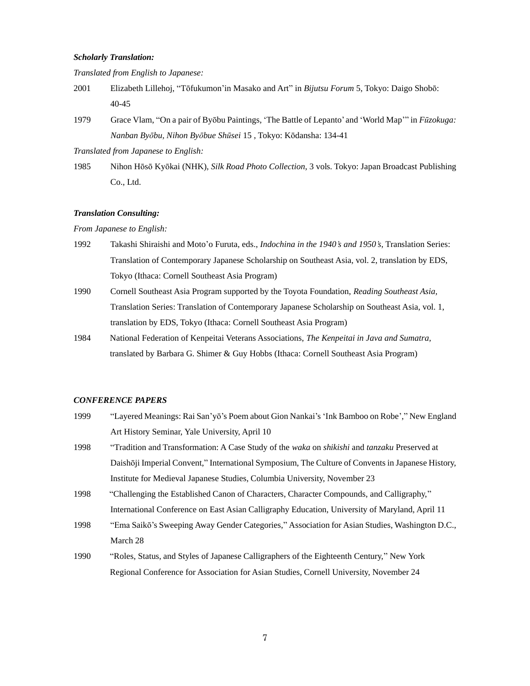#### *Scholarly Translation:*

*Translated from English to Japanese:* 

- 2001 Elizabeth Lillehoj, "Tōfukumon'in Masako and Art" in *Bijutsu Forum* 5, Tokyo: Daigo Shobō: 40-45
- 1979 Grace Vlam, "On a pair of Byōbu Paintings, 'The Battle of Lepanto' and 'World Map'" in *Fūzokuga: Nanban Byōbu, Nihon Byōbue Shūsei* 15 , Tokyo: Kōdansha: 134-41

*Translated from Japanese to English:* 

1985 Nihon Hōsō Kyōkai (NHK), *Silk Road Photo Collection*, 3 vols. Tokyo: Japan Broadcast Publishing Co., Ltd.

#### *Translation Consulting:*

*From Japanese to English:* 

- 1992 Takashi Shiraishi and Moto'o Furuta, eds., *Indochina in the 1940's and 1950's*, Translation Series: Translation of Contemporary Japanese Scholarship on Southeast Asia, vol. 2, translation by EDS, Tokyo (Ithaca: Cornell Southeast Asia Program)
- 1990 Cornell Southeast Asia Program supported by the Toyota Foundation, *Reading Southeast Asia,*  Translation Series: Translation of Contemporary Japanese Scholarship on Southeast Asia, vol. 1, translation by EDS, Tokyo (Ithaca: Cornell Southeast Asia Program)
- 1984 National Federation of Kenpeitai Veterans Associations, *The Kenpeitai in Java and Sumatra,*  translated by Barbara G. Shimer & Guy Hobbs (Ithaca: Cornell Southeast Asia Program)

#### *CONFERENCE PAPERS*

- 1999 "Layered Meanings: Rai San'yō's Poem about Gion Nankai's 'Ink Bamboo on Robe'," New England Art History Seminar, Yale University, April 10
- 1998 "Tradition and Transformation: A Case Study of the *waka* on *shikishi* and *tanzaku* Preserved at Daishōji Imperial Convent," International Symposium, The Culture of Convents in Japanese History, Institute for Medieval Japanese Studies, Columbia University, November 23
- 1998 "Challenging the Established Canon of Characters, Character Compounds, and Calligraphy," International Conference on East Asian Calligraphy Education, University of Maryland, April 11
- 1998 "Ema Saikō's Sweeping Away Gender Categories," Association for Asian Studies, Washington D.C., March 28
- 1990 "Roles, Status, and Styles of Japanese Calligraphers of the Eighteenth Century," New York Regional Conference for Association for Asian Studies, Cornell University, November 24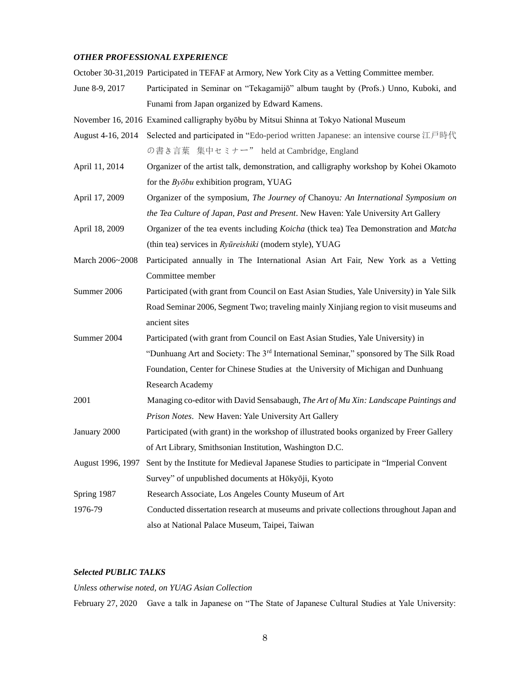### *OTHER PROFESSIONAL EXPERIENCE*

October 30-31,2019 Participated in TEFAF at Armory, New York City as a Vetting Committee member.

- June 8-9, 2017 Participated in Seminar on "Tekagamijō" album taught by (Profs.) Unno, Kuboki, and Funami from Japan organized by Edward Kamens.
- November 16, 2016 Examined calligraphy byōbu by Mitsui Shinna at Tokyo National Museum
- August 4-16, 2014 Selected and participated in "Edo-period written Japanese: an intensive course 江戸時代 の書き言葉 集中セミナー" held at Cambridge, England
- April 11, 2014 Organizer of the artist talk, demonstration, and calligraphy workshop by Kohei Okamoto for the *Byōbu* exhibition program, YUAG
- April 17, 2009 Organizer of the symposium, *The Journey of* Chanoyu*: An International Symposium on the Tea Culture of Japan, Past and Present*. New Haven: Yale University Art Gallery
- April 18, 2009 Organizer of the tea events including *Koicha* (thick tea) Tea Demonstration and *Matcha* (thin tea) services in *Ryūreishiki* (modern style), YUAG
- March 2006~2008 Participated annually in The International Asian Art Fair, New York as a Vetting Committee member
- Summer 2006 Participated (with grant from Council on East Asian Studies, Yale University) in Yale Silk Road Seminar 2006, Segment Two; traveling mainly Xinjiang region to visit museums and ancient sites
- Summer 2004 Participated (with grant from Council on East Asian Studies, Yale University) in "Dunhuang Art and Society: The 3rd International Seminar," sponsored by The Silk Road Foundation, Center for Chinese Studies at the University of Michigan and Dunhuang Research Academy
- 2001 Managing co-editor with David Sensabaugh, *The Art of Mu Xin: Landscape Paintings and Prison Notes*. New Haven: Yale University Art Gallery
- January 2000 Participated (with grant) in the workshop of illustrated books organized by Freer Gallery of Art Library, Smithsonian Institution, Washington D.C.
- August 1996, 1997 Sent by the Institute for Medieval Japanese Studies to participate in "Imperial Convent Survey" of unpublished documents at Hōkyōji, Kyoto
- Spring 1987 Research Associate, Los Angeles County Museum of Art
- 1976-79 Conducted dissertation research at museums and private collections throughout Japan and also at National Palace Museum, Taipei, Taiwan

### *Selected PUBLIC TALKS*

#### *Unless otherwise noted, on YUAG Asian Collection*

February 27, 2020 Gave a talk in Japanese on "The State of Japanese Cultural Studies at Yale University: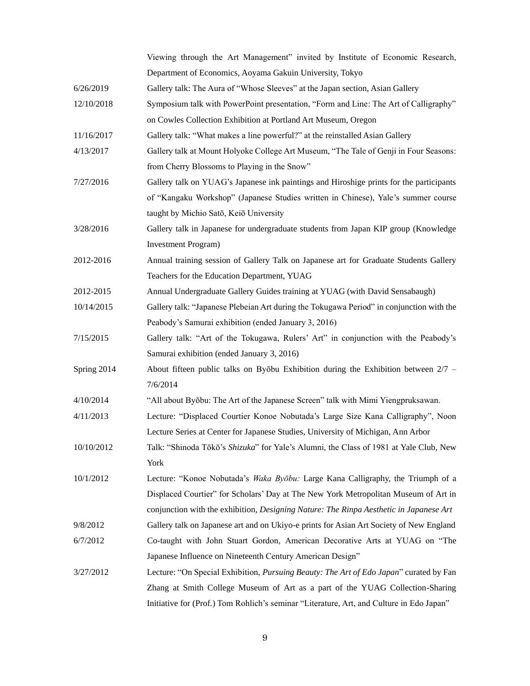|             | Viewing through the Art Management" invited by Institute of Economic Research,                 |
|-------------|------------------------------------------------------------------------------------------------|
|             | Department of Economics, Aoyama Gakuin University, Tokyo                                       |
| 6/26/2019   | Gallery talk: The Aura of "Whose Sleeves" at the Japan section, Asian Gallery                  |
| 12/10/2018  | Symposium talk with PowerPoint presentation, "Form and Line: The Art of Calligraphy"           |
|             | on Cowles Collection Exhibition at Portland Art Museum, Oregon                                 |
| 11/16/2017  | Gallery talk: "What makes a line powerful?" at the reinstalled Asian Gallery                   |
| 4/13/2017   | Gallery talk at Mount Holyoke College Art Museum, "The Tale of Genji in Four Seasons:          |
|             | from Cherry Blossoms to Playing in the Snow"                                                   |
| 7/27/2016   | Gallery talk on YUAG's Japanese ink paintings and Hiroshige prints for the participants        |
|             | of "Kangaku Workshop" (Japanese Studies written in Chinese), Yale's summer course              |
|             | taught by Michio Satō, Keiō University                                                         |
| 3/28/2016   | Gallery talk in Japanese for undergraduate students from Japan KIP group (Knowledge            |
|             | <b>Investment Program</b> )                                                                    |
| 2012-2016   | Annual training session of Gallery Talk on Japanese art for Graduate Students Gallery          |
|             | Teachers for the Education Department, YUAG                                                    |
| 2012-2015   | Annual Undergraduate Gallery Guides training at YUAG (with David Sensabaugh)                   |
| 10/14/2015  | Gallery talk: "Japanese Plebeian Art during the Tokugawa Period" in conjunction with the       |
|             | Peabody's Samurai exhibition (ended January 3, 2016)                                           |
| 7/15/2015   | Gallery talk: "Art of the Tokugawa, Rulers' Art" in conjunction with the Peabody's             |
|             | Samurai exhibition (ended January 3, 2016)                                                     |
| Spring 2014 | About fifteen public talks on Byōbu Exhibition during the Exhibition between 2/7 -             |
|             | 7/6/2014                                                                                       |
| 4/10/2014   | "All about Byōbu: The Art of the Japanese Screen" talk with Mimi Yiengpruksawan.               |
| 4/11/2013   | Lecture: "Displaced Courtier Konoe Nobutada's Large Size Kana Calligraphy", Noon               |
|             | Lecture Series at Center for Japanese Studies, University of Michigan, Ann Arbor               |
| 10/10/2012  | Talk: "Shinoda Tōkō's Shizuka" for Yale's Alumni, the Class of 1981 at Yale Club, New          |
|             | York                                                                                           |
| 10/1/2012   | Lecture: "Konoe Nobutada's <i>Waka Byōbu:</i> Large Kana Calligraphy, the Triumph of a         |
|             | Displaced Courtier" for Scholars' Day at The New York Metropolitan Museum of Art in            |
|             | conjunction with the exhibition, Designing Nature: The Rinpa Aesthetic in Japanese Art         |
| 9/8/2012    | Gallery talk on Japanese art and on Ukiyo-e prints for Asian Art Society of New England        |
| 6/7/2012    | Co-taught with John Stuart Gordon, American Decorative Arts at YUAG on "The                    |
|             | Japanese Influence on Nineteenth Century American Design"                                      |
| 3/27/2012   | Lecture: "On Special Exhibition, <i>Pursuing Beauty: The Art of Edo Japan</i> " curated by Fan |
|             | Zhang at Smith College Museum of Art as a part of the YUAG Collection-Sharing                  |
|             | Initiative for (Prof.) Tom Rohlich's seminar "Literature, Art, and Culture in Edo Japan"       |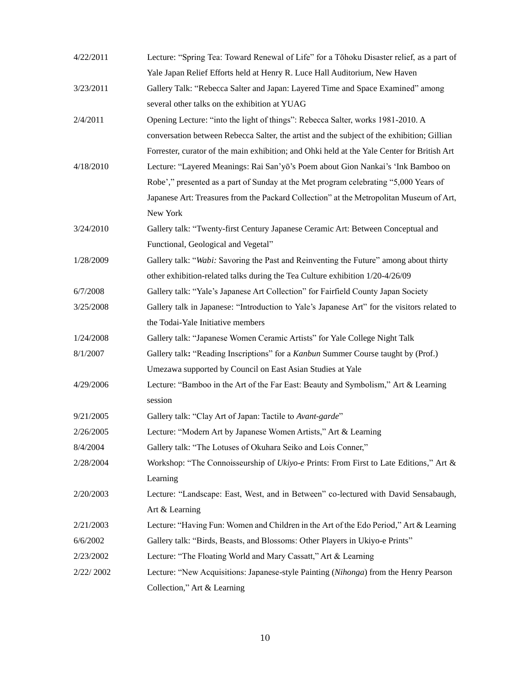| 4/22/2011 | Lecture: "Spring Tea: Toward Renewal of Life" for a Tōhoku Disaster relief, as a part of    |
|-----------|---------------------------------------------------------------------------------------------|
|           | Yale Japan Relief Efforts held at Henry R. Luce Hall Auditorium, New Haven                  |
| 3/23/2011 | Gallery Talk: "Rebecca Salter and Japan: Layered Time and Space Examined" among             |
|           | several other talks on the exhibition at YUAG                                               |
| 2/4/2011  | Opening Lecture: "into the light of things": Rebecca Salter, works 1981-2010. A             |
|           | conversation between Rebecca Salter, the artist and the subject of the exhibition; Gillian  |
|           | Forrester, curator of the main exhibition; and Ohki held at the Yale Center for British Art |
| 4/18/2010 | Lecture: "Layered Meanings: Rai San'yō's Poem about Gion Nankai's 'Ink Bamboo on            |
|           | Robe'," presented as a part of Sunday at the Met program celebrating "5,000 Years of        |
|           | Japanese Art: Treasures from the Packard Collection" at the Metropolitan Museum of Art,     |
|           | New York                                                                                    |
| 3/24/2010 | Gallery talk: "Twenty-first Century Japanese Ceramic Art: Between Conceptual and            |
|           | Functional, Geological and Vegetal"                                                         |
| 1/28/2009 | Gallery talk: "Wabi: Savoring the Past and Reinventing the Future" among about thirty       |
|           | other exhibition-related talks during the Tea Culture exhibition 1/20-4/26/09               |
| 6/7/2008  | Gallery talk: "Yale's Japanese Art Collection" for Fairfield County Japan Society           |
| 3/25/2008 | Gallery talk in Japanese: "Introduction to Yale's Japanese Art" for the visitors related to |
|           | the Todai-Yale Initiative members                                                           |
| 1/24/2008 | Gallery talk: "Japanese Women Ceramic Artists" for Yale College Night Talk                  |
| 8/1/2007  | Gallery talk: "Reading Inscriptions" for a Kanbun Summer Course taught by (Prof.)           |
|           | Umezawa supported by Council on East Asian Studies at Yale                                  |
| 4/29/2006 | Lecture: "Bamboo in the Art of the Far East: Beauty and Symbolism," Art & Learning          |
|           | session                                                                                     |
| 9/21/2005 | Gallery talk: "Clay Art of Japan: Tactile to Avant-garde"                                   |
| 2/26/2005 | Lecture: "Modern Art by Japanese Women Artists," Art & Learning                             |
| 8/4/2004  | Gallery talk: "The Lotuses of Okuhara Seiko and Lois Conner,"                               |
| 2/28/2004 | Workshop: "The Connoisseurship of Ukiyo-e Prints: From First to Late Editions," Art &       |
|           | Learning                                                                                    |
| 2/20/2003 | Lecture: "Landscape: East, West, and in Between" co-lectured with David Sensabaugh,         |
|           | Art & Learning                                                                              |
| 2/21/2003 | Lecture: "Having Fun: Women and Children in the Art of the Edo Period," Art & Learning      |
| 6/6/2002  | Gallery talk: "Birds, Beasts, and Blossoms: Other Players in Ukiyo-e Prints"                |
| 2/23/2002 | Lecture: "The Floating World and Mary Cassatt," Art & Learning                              |
| 2/22/2002 | Lecture: "New Acquisitions: Japanese-style Painting (Nihonga) from the Henry Pearson        |
|           | Collection," Art & Learning                                                                 |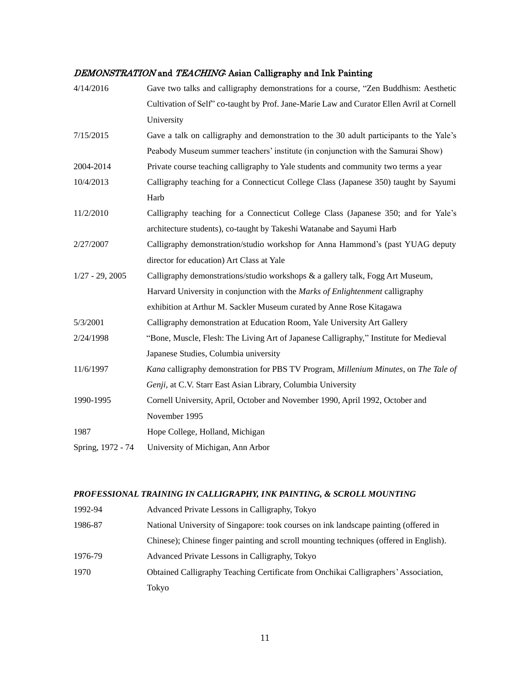## DEMONSTRATION and TEACHING: Asian Calligraphy and Ink Painting

| 4/14/2016         | Gave two talks and calligraphy demonstrations for a course, "Zen Buddhism: Aesthetic      |
|-------------------|-------------------------------------------------------------------------------------------|
|                   | Cultivation of Self" co-taught by Prof. Jane-Marie Law and Curator Ellen Avril at Cornell |
|                   | University                                                                                |
| 7/15/2015         | Gave a talk on calligraphy and demonstration to the 30 adult participants to the Yale's   |
|                   | Peabody Museum summer teachers' institute (in conjunction with the Samurai Show)          |
| 2004-2014         | Private course teaching calligraphy to Yale students and community two terms a year       |
| 10/4/2013         | Calligraphy teaching for a Connecticut College Class (Japanese 350) taught by Sayumi      |
|                   | Harb                                                                                      |
| 11/2/2010         | Calligraphy teaching for a Connecticut College Class (Japanese 350; and for Yale's        |
|                   | architecture students), co-taught by Takeshi Watanabe and Sayumi Harb                     |
| 2/27/2007         | Calligraphy demonstration/studio workshop for Anna Hammond's (past YUAG deputy            |
|                   | director for education) Art Class at Yale                                                 |
| $1/27 - 29, 2005$ | Calligraphy demonstrations/studio workshops & a gallery talk, Fogg Art Museum,            |
|                   | Harvard University in conjunction with the Marks of Enlightenment calligraphy             |
|                   | exhibition at Arthur M. Sackler Museum curated by Anne Rose Kitagawa                      |
| 5/3/2001          | Calligraphy demonstration at Education Room, Yale University Art Gallery                  |
| 2/24/1998         | "Bone, Muscle, Flesh: The Living Art of Japanese Calligraphy," Institute for Medieval     |
|                   | Japanese Studies, Columbia university                                                     |
| 11/6/1997         | Kana calligraphy demonstration for PBS TV Program, Millenium Minutes, on The Tale of      |
|                   | Genji, at C.V. Starr East Asian Library, Columbia University                              |
| 1990-1995         | Cornell University, April, October and November 1990, April 1992, October and             |
|                   | November 1995                                                                             |
| 1987              | Hope College, Holland, Michigan                                                           |
| Spring, 1972 - 74 | University of Michigan, Ann Arbor                                                         |

## *PROFESSIONAL TRAINING IN CALLIGRAPHY, INK PAINTING, & SCROLL MOUNTING*

| 1992-94 | Advanced Private Lessons in Calligraphy, Tokyo                                         |
|---------|----------------------------------------------------------------------------------------|
| 1986-87 | National University of Singapore: took courses on ink landscape painting (offered in   |
|         | Chinese); Chinese finger painting and scroll mounting techniques (offered in English). |
| 1976-79 | Advanced Private Lessons in Calligraphy, Tokyo                                         |
| 1970    | Obtained Calligraphy Teaching Certificate from Onchikai Calligraphers' Association,    |
|         | Tokyo                                                                                  |